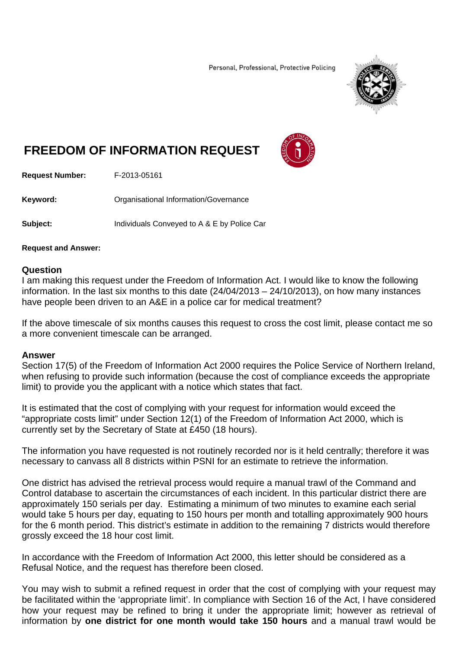Personal, Professional, Protective Policing



## **FREEDOM OF INFORMATION REQUEST**



**Request Number:** F-2013-05161

**Keyword: C**rganisational Information/Governance

**Subject:** Individuals Conveyed to A & E by Police Car

## **Request and Answer:**

## **Question**

I am making this request under the Freedom of Information Act. I would like to know the following information. In the last six months to this date (24/04/2013 – 24/10/2013), on how many instances have people been driven to an A&E in a police car for medical treatment?

If the above timescale of six months causes this request to cross the cost limit, please contact me so a more convenient timescale can be arranged.

## **Answer**

Section 17(5) of the Freedom of Information Act 2000 requires the Police Service of Northern Ireland, when refusing to provide such information (because the cost of compliance exceeds the appropriate limit) to provide you the applicant with a notice which states that fact.

It is estimated that the cost of complying with your request for information would exceed the "appropriate costs limit" under Section 12(1) of the Freedom of Information Act 2000, which is currently set by the Secretary of State at £450 (18 hours).

The information you have requested is not routinely recorded nor is it held centrally; therefore it was necessary to canvass all 8 districts within PSNI for an estimate to retrieve the information.

One district has advised the retrieval process would require a manual trawl of the Command and Control database to ascertain the circumstances of each incident. In this particular district there are approximately 150 serials per day. Estimating a minimum of two minutes to examine each serial would take 5 hours per day, equating to 150 hours per month and totalling approximately 900 hours for the 6 month period. This district's estimate in addition to the remaining 7 districts would therefore grossly exceed the 18 hour cost limit.

In accordance with the Freedom of Information Act 2000, this letter should be considered as a Refusal Notice, and the request has therefore been closed.

You may wish to submit a refined request in order that the cost of complying with your request may be facilitated within the 'appropriate limit'. In compliance with Section 16 of the Act, I have considered how your request may be refined to bring it under the appropriate limit; however as retrieval of information by **one district for one month would take 150 hours** and a manual trawl would be